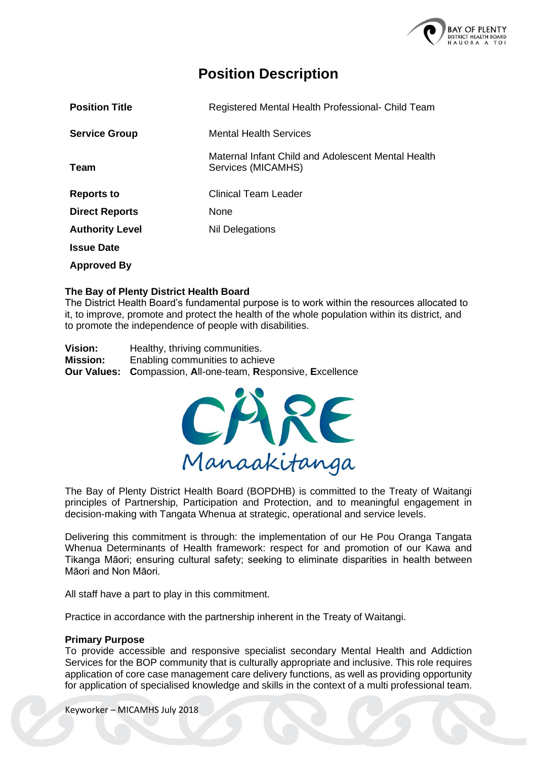

# **Position Description**

| <b>Position Title</b>  | Registered Mental Health Professional- Child Team                        |
|------------------------|--------------------------------------------------------------------------|
| <b>Service Group</b>   | <b>Mental Health Services</b>                                            |
| Team                   | Maternal Infant Child and Adolescent Mental Health<br>Services (MICAMHS) |
| <b>Reports to</b>      | <b>Clinical Team Leader</b>                                              |
| <b>Direct Reports</b>  | None                                                                     |
| <b>Authority Level</b> | <b>Nil Delegations</b>                                                   |
| <b>Issue Date</b>      |                                                                          |
| <b>Approved By</b>     |                                                                          |

## **The Bay of Plenty District Health Board**

The District Health Board's fundamental purpose is to work within the resources allocated to it, to improve, promote and protect the health of the whole population within its district, and to promote the independence of people with disabilities.

**Vision:** Healthy, thriving communities. **Mission:** Enabling communities to achieve **Our Values: C**ompassion, **A**ll-one-team, **R**esponsive, **E**xcellence



The Bay of Plenty District Health Board (BOPDHB) is committed to the Treaty of Waitangi principles of Partnership, Participation and Protection, and to meaningful engagement in decision-making with Tangata Whenua at strategic, operational and service levels.

Delivering this commitment is through: the implementation of our He Pou Oranga Tangata Whenua Determinants of Health framework: respect for and promotion of our Kawa and Tikanga Māori; ensuring cultural safety; seeking to eliminate disparities in health between Māori and Non Māori.

All staff have a part to play in this commitment.

Practice in accordance with the partnership inherent in the Treaty of Waitangi.

#### **Primary Purpose**

To provide accessible and responsive specialist secondary Mental Health and Addiction Services for the BOP community that is culturally appropriate and inclusive. This role requires application of core case management care delivery functions, as well as providing opportunity for application of specialised knowledge and skills in the context of a multi professional team.

Keyworker – MICAMHS July 2018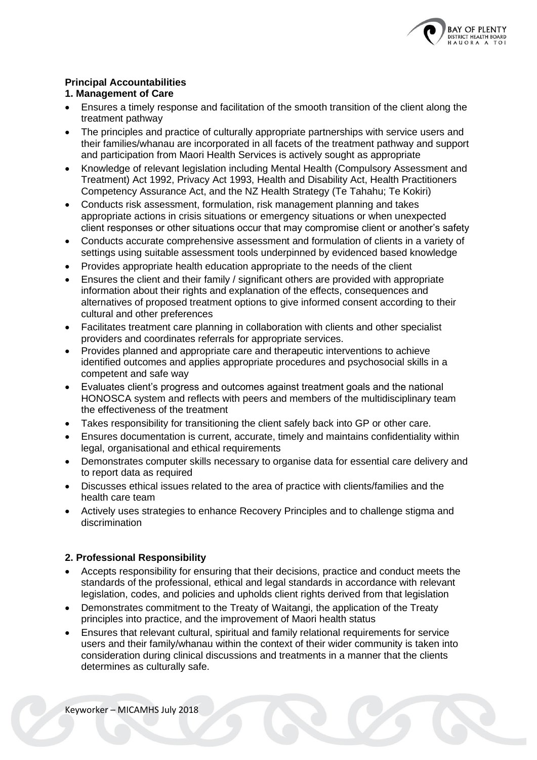

# **Principal Accountabilities**

## **1. Management of Care**

- Ensures a timely response and facilitation of the smooth transition of the client along the treatment pathway
- The principles and practice of culturally appropriate partnerships with service users and their families/whanau are incorporated in all facets of the treatment pathway and support and participation from Maori Health Services is actively sought as appropriate
- Knowledge of relevant legislation including Mental Health (Compulsory Assessment and Treatment) Act 1992, Privacy Act 1993, Health and Disability Act, Health Practitioners Competency Assurance Act, and the NZ Health Strategy (Te Tahahu; Te Kokiri)
- Conducts risk assessment, formulation, risk management planning and takes appropriate actions in crisis situations or emergency situations or when unexpected client responses or other situations occur that may compromise client or another's safety
- Conducts accurate comprehensive assessment and formulation of clients in a variety of settings using suitable assessment tools underpinned by evidenced based knowledge
- Provides appropriate health education appropriate to the needs of the client
- Ensures the client and their family / significant others are provided with appropriate information about their rights and explanation of the effects, consequences and alternatives of proposed treatment options to give informed consent according to their cultural and other preferences
- Facilitates treatment care planning in collaboration with clients and other specialist providers and coordinates referrals for appropriate services.
- Provides planned and appropriate care and therapeutic interventions to achieve identified outcomes and applies appropriate procedures and psychosocial skills in a competent and safe way
- Evaluates client's progress and outcomes against treatment goals and the national HONOSCA system and reflects with peers and members of the multidisciplinary team the effectiveness of the treatment
- Takes responsibility for transitioning the client safely back into GP or other care.
- Ensures documentation is current, accurate, timely and maintains confidentiality within legal, organisational and ethical requirements
- Demonstrates computer skills necessary to organise data for essential care delivery and to report data as required
- Discusses ethical issues related to the area of practice with clients/families and the health care team
- Actively uses strategies to enhance Recovery Principles and to challenge stigma and discrimination

## **2. Professional Responsibility**

- Accepts responsibility for ensuring that their decisions, practice and conduct meets the standards of the professional, ethical and legal standards in accordance with relevant legislation, codes, and policies and upholds client rights derived from that legislation
- Demonstrates commitment to the Treaty of Waitangi, the application of the Treaty principles into practice, and the improvement of Maori health status
- Ensures that relevant cultural, spiritual and family relational requirements for service users and their family/whanau within the context of their wider community is taken into consideration during clinical discussions and treatments in a manner that the clients determines as culturally safe.

Keyworker – MICAMHS July 2018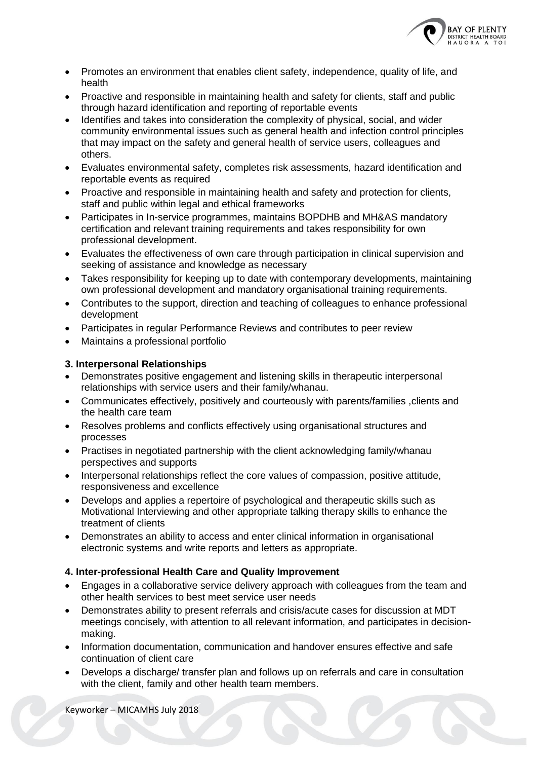

- Promotes an environment that enables client safety, independence, quality of life, and health
- Proactive and responsible in maintaining health and safety for clients, staff and public through hazard identification and reporting of reportable events
- Identifies and takes into consideration the complexity of physical, social, and wider community environmental issues such as general health and infection control principles that may impact on the safety and general health of service users, colleagues and others.
- Evaluates environmental safety, completes risk assessments, hazard identification and reportable events as required
- Proactive and responsible in maintaining health and safety and protection for clients, staff and public within legal and ethical frameworks
- Participates in In-service programmes, maintains BOPDHB and MH&AS mandatory certification and relevant training requirements and takes responsibility for own professional development.
- Evaluates the effectiveness of own care through participation in clinical supervision and seeking of assistance and knowledge as necessary
- Takes responsibility for keeping up to date with contemporary developments, maintaining own professional development and mandatory organisational training requirements.
- Contributes to the support, direction and teaching of colleagues to enhance professional development
- Participates in regular Performance Reviews and contributes to peer review
- Maintains a professional portfolio

## **3. Interpersonal Relationships**

- Demonstrates positive engagement and listening skills in therapeutic interpersonal relationships with service users and their family/whanau.
- Communicates effectively, positively and courteously with parents/families ,clients and the health care team
- Resolves problems and conflicts effectively using organisational structures and processes
- Practises in negotiated partnership with the client acknowledging family/whanau perspectives and supports
- Interpersonal relationships reflect the core values of compassion, positive attitude, responsiveness and excellence
- Develops and applies a repertoire of psychological and therapeutic skills such as Motivational Interviewing and other appropriate talking therapy skills to enhance the treatment of clients
- Demonstrates an ability to access and enter clinical information in organisational electronic systems and write reports and letters as appropriate.

## **4. Inter-professional Health Care and Quality Improvement**

- Engages in a collaborative service delivery approach with colleagues from the team and other health services to best meet service user needs
- Demonstrates ability to present referrals and crisis/acute cases for discussion at MDT meetings concisely, with attention to all relevant information, and participates in decisionmaking.
- Information documentation, communication and handover ensures effective and safe continuation of client care
- Develops a discharge/ transfer plan and follows up on referrals and care in consultation with the client, family and other health team members.

Keyworker – MICAMHS July 2018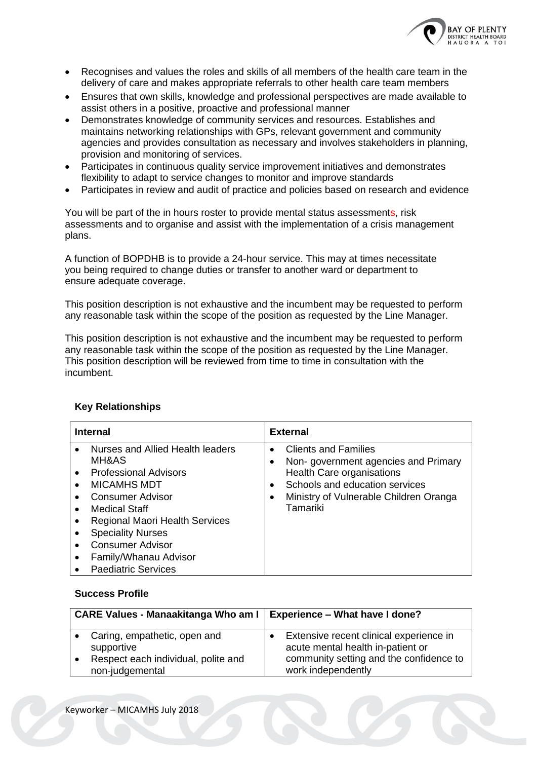

- Recognises and values the roles and skills of all members of the health care team in the delivery of care and makes appropriate referrals to other health care team members
- Ensures that own skills, knowledge and professional perspectives are made available to assist others in a positive, proactive and professional manner
- Demonstrates knowledge of community services and resources. Establishes and maintains networking relationships with GPs, relevant government and community agencies and provides consultation as necessary and involves stakeholders in planning, provision and monitoring of services.
- Participates in continuous quality service improvement initiatives and demonstrates flexibility to adapt to service changes to monitor and improve standards
- Participates in review and audit of practice and policies based on research and evidence

You will be part of the in hours roster to provide mental status assessments, risk assessments and to organise and assist with the implementation of a crisis management plans.

A function of BOPDHB is to provide a 24-hour service. This may at times necessitate you being required to change duties or transfer to another ward or department to ensure adequate coverage.

This position description is not exhaustive and the incumbent may be requested to perform any reasonable task within the scope of the position as requested by the Line Manager.

This position description is not exhaustive and the incumbent may be requested to perform any reasonable task within the scope of the position as requested by the Line Manager. This position description will be reviewed from time to time in consultation with the incumbent.

| <b>Internal</b>                                                                                                                                                                                                                                                                                                                          | <b>External</b>                                                                                                                                                                                                                |
|------------------------------------------------------------------------------------------------------------------------------------------------------------------------------------------------------------------------------------------------------------------------------------------------------------------------------------------|--------------------------------------------------------------------------------------------------------------------------------------------------------------------------------------------------------------------------------|
| Nurses and Allied Health leaders<br>MH&AS<br><b>Professional Advisors</b><br>$\bullet$<br>MICAMHS MDT<br>$\bullet$<br>Consumer Advisor<br>$\bullet$<br>Medical Staff<br>$\bullet$<br><b>Regional Maori Health Services</b><br><b>Speciality Nurses</b><br><b>Consumer Advisor</b><br>Family/Whanau Advisor<br><b>Paediatric Services</b> | <b>Clients and Families</b><br>$\bullet$<br>Non-government agencies and Primary<br>Health Care organisations<br>Schools and education services<br>$\bullet$<br>Ministry of Vulnerable Children Oranga<br>$\bullet$<br>Tamariki |

## **Key Relationships**

## **Success Profile**

| <b>CARE Values - Manaakitanga Who am I</b> |                                                        | <b>Experience - What have I done?</b> |                                                                              |
|--------------------------------------------|--------------------------------------------------------|---------------------------------------|------------------------------------------------------------------------------|
|                                            | Caring, empathetic, open and<br>supportive             |                                       | Extensive recent clinical experience in<br>acute mental health in-patient or |
| $\bullet$                                  | Respect each individual, polite and<br>non-judgemental |                                       | community setting and the confidence to<br>work independently                |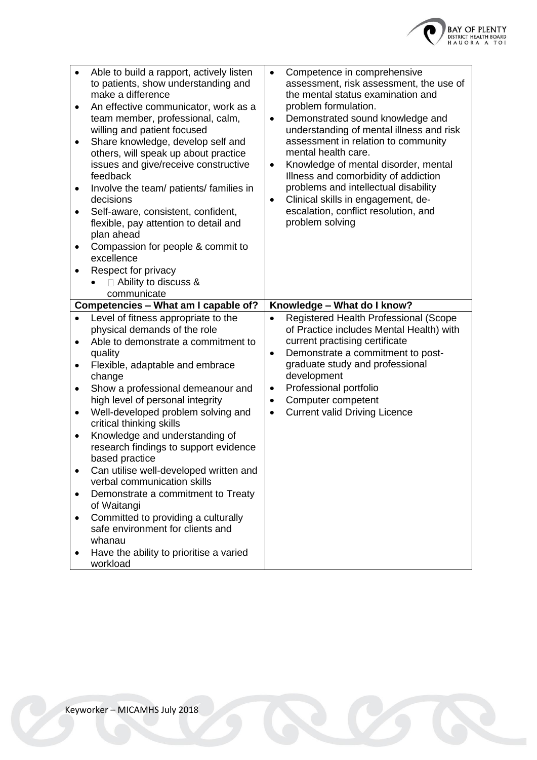

| $\bullet$<br>$\bullet$<br>$\bullet$<br>$\bullet$<br>٠<br>٠<br>٠              | Able to build a rapport, actively listen<br>to patients, show understanding and<br>make a difference<br>An effective communicator, work as a<br>team member, professional, calm,<br>willing and patient focused<br>Share knowledge, develop self and<br>others, will speak up about practice<br>issues and give/receive constructive<br>feedback<br>Involve the team/ patients/ families in<br>decisions<br>Self-aware, consistent, confident,<br>flexible, pay attention to detail and<br>plan ahead<br>Compassion for people & commit to<br>excellence<br>Respect for privacy<br>$\Box$ Ability to discuss &                | Competence in comprehensive<br>$\bullet$<br>assessment, risk assessment, the use of<br>the mental status examination and<br>problem formulation.<br>Demonstrated sound knowledge and<br>$\bullet$<br>understanding of mental illness and risk<br>assessment in relation to community<br>mental health care.<br>Knowledge of mental disorder, mental<br>$\bullet$<br>Illness and comorbidity of addiction<br>problems and intellectual disability<br>Clinical skills in engagement, de-<br>$\bullet$<br>escalation, conflict resolution, and<br>problem solving |
|------------------------------------------------------------------------------|-------------------------------------------------------------------------------------------------------------------------------------------------------------------------------------------------------------------------------------------------------------------------------------------------------------------------------------------------------------------------------------------------------------------------------------------------------------------------------------------------------------------------------------------------------------------------------------------------------------------------------|----------------------------------------------------------------------------------------------------------------------------------------------------------------------------------------------------------------------------------------------------------------------------------------------------------------------------------------------------------------------------------------------------------------------------------------------------------------------------------------------------------------------------------------------------------------|
|                                                                              | communicate                                                                                                                                                                                                                                                                                                                                                                                                                                                                                                                                                                                                                   |                                                                                                                                                                                                                                                                                                                                                                                                                                                                                                                                                                |
|                                                                              | Competencies - What am I capable of?                                                                                                                                                                                                                                                                                                                                                                                                                                                                                                                                                                                          | Knowledge - What do I know?                                                                                                                                                                                                                                                                                                                                                                                                                                                                                                                                    |
| $\bullet$<br>$\bullet$<br>٠<br>$\bullet$<br>٠<br>$\bullet$<br>$\bullet$<br>٠ | Level of fitness appropriate to the<br>physical demands of the role<br>Able to demonstrate a commitment to<br>quality<br>Flexible, adaptable and embrace<br>change<br>Show a professional demeanour and<br>high level of personal integrity<br>Well-developed problem solving and<br>critical thinking skills<br>Knowledge and understanding of<br>research findings to support evidence<br>based practice<br>Can utilise well-developed written and<br>verbal communication skills<br>Demonstrate a commitment to Treaty<br>of Waitangi<br>Committed to providing a culturally<br>safe environment for clients and<br>whanau | Registered Health Professional (Scope<br>$\bullet$<br>of Practice includes Mental Health) with<br>current practising certificate<br>Demonstrate a commitment to post-<br>$\bullet$<br>graduate study and professional<br>development<br>Professional portfolio<br>$\bullet$<br>Computer competent<br>$\bullet$<br><b>Current valid Driving Licence</b><br>$\bullet$                                                                                                                                                                                            |
|                                                                              | Have the ability to prioritise a varied<br>workload                                                                                                                                                                                                                                                                                                                                                                                                                                                                                                                                                                           |                                                                                                                                                                                                                                                                                                                                                                                                                                                                                                                                                                |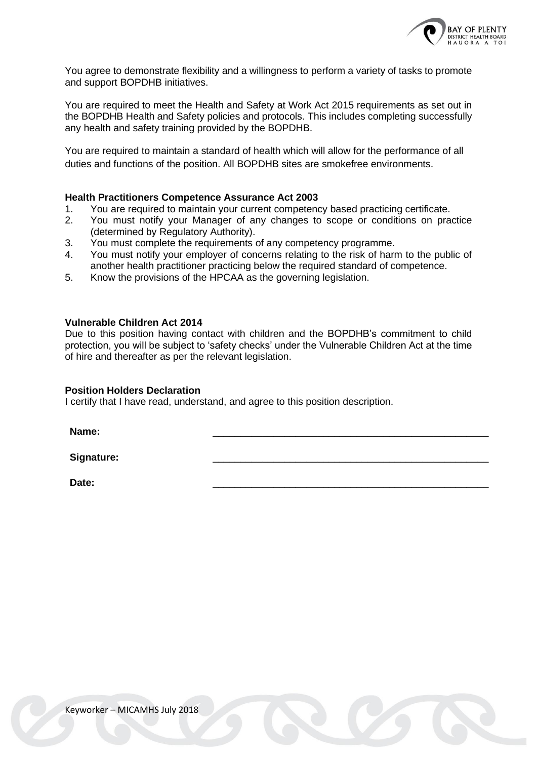

You agree to demonstrate flexibility and a willingness to perform a variety of tasks to promote and support BOPDHB initiatives.

You are required to meet the Health and Safety at Work Act 2015 requirements as set out in the BOPDHB Health and Safety policies and protocols. This includes completing successfully any health and safety training provided by the BOPDHB.

You are required to maintain a standard of health which will allow for the performance of all duties and functions of the position. All BOPDHB sites are smokefree environments.

#### **Health Practitioners Competence Assurance Act 2003**

- 1. You are required to maintain your current competency based practicing certificate.
- 2. You must notify your Manager of any changes to scope or conditions on practice (determined by Regulatory Authority).
- 3. You must complete the requirements of any competency programme.
- 4. You must notify your employer of concerns relating to the risk of harm to the public of another health practitioner practicing below the required standard of competence.
- 5. Know the provisions of the HPCAA as the governing legislation.

### **Vulnerable Children Act 2014**

Due to this position having contact with children and the BOPDHB's commitment to child protection, you will be subject to 'safety checks' under the Vulnerable Children Act at the time of hire and thereafter as per the relevant legislation.

#### **Position Holders Declaration**

I certify that I have read, understand, and agree to this position description.

**Name:** \_\_\_\_\_\_\_\_\_\_\_\_\_\_\_\_\_\_\_\_\_\_\_\_\_\_\_\_\_\_\_\_\_\_\_\_\_\_\_\_\_\_\_\_\_\_\_\_\_\_

Signature:

**Date:** \_\_\_\_\_\_\_\_\_\_\_\_\_\_\_\_\_\_\_\_\_\_\_\_\_\_\_\_\_\_\_\_\_\_\_\_\_\_\_\_\_\_\_\_\_\_\_\_\_\_